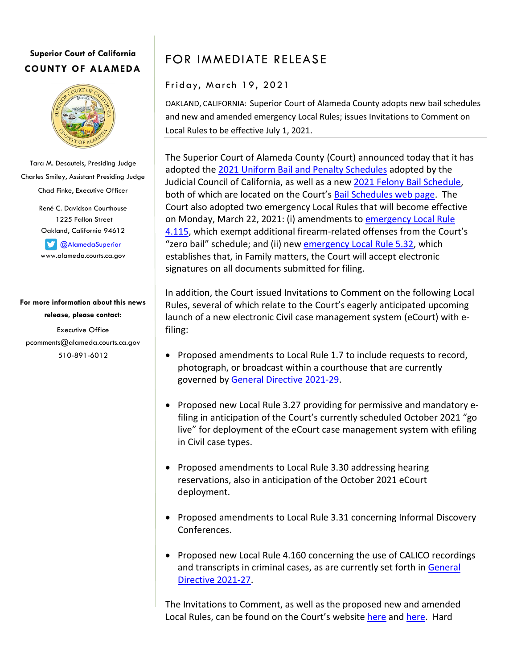## **Superior Court of California COUNTY OF ALAMEDA**



Tara M. Desautels, Presiding Judge Charles Smiley, Assistant Presiding Judge Chad Finke, Executive Officer

> René C. Davidson Courthouse 1225 Fallon Street Oakland, California 94612

**CAlamedaSuperior** www.alameda.courts.ca.gov

**For more information about this news release, please contact:** Executive Office pcomments@alameda.courts.ca.gov 510-891-6012

FOR IMMEDIATE RELEASE

Friday, March 19, 2021

OAKLAND, CALIFORNIA: Superior Court of Alameda County adopts new bail schedules and new and amended emergency Local Rules; issues Invitations to Comment on Local Rules to be effective July 1, 2021.

The Superior Court of Alameda County (Court) announced today that it has adopted th[e 2021 Uniform Bail and Penalty Schedules](http://www.alameda.courts.ca.gov/Resources/Documents/ExecOffice/Uniform%20Bail%20and%20Penalty%20Schedule%202021.pdf) adopted by the Judicial Council of California, as well as a new [2021 Felony Bail Schedule,](http://www.alameda.courts.ca.gov/Resources/Documents/ExecOffice/2021%20Felony%20Bail%20Schedule.pdf) both of which are located on the Court's [Bail Schedules web page.](http://www.alameda.courts.ca.gov/Pages.aspx/Bail-Schedules) The Court also adopted two emergency Local Rules that will become effective on Monday, March 22, 2021: (i) amendments to [emergency Local Rule](http://www.alameda.courts.ca.gov/Resources/Documents/ExecOffice/Emergency%20Rule%204.115.pdf)  [4.115,](http://www.alameda.courts.ca.gov/Resources/Documents/ExecOffice/Emergency%20Rule%204.115.pdf) which exempt additional firearm-related offenses from the Court's "zero bail" schedule; and (ii) ne[w emergency Local Rule 5.32,](http://www.alameda.courts.ca.gov/Resources/Documents/ExecOffice/Emergency%20Rule%205.32.pdf) which establishes that, in Family matters, the Court will accept electronic signatures on all documents submitted for filing.

In addition, the Court issued Invitations to Comment on the following Local Rules, several of which relate to the Court's eagerly anticipated upcoming launch of a new electronic Civil case management system (eCourt) with efiling:

- Proposed amendments to Local Rule 1.7 to include requests to record, photograph, or broadcast within a courthouse that are currently governed by [General Directive 2021-29.](http://www.alameda.courts.ca.gov/Resources/Documents/ExecOffice/General%20Directives/2021-29%20Media%20and%20Media%20Agency%20Photographing,%20Broadcasting,%20and%20Recording%20in%20Courthouses.pdf)
- Proposed new Local Rule 3.27 providing for permissive and mandatory efiling in anticipation of the Court's currently scheduled October 2021 "go live" for deployment of the eCourt case management system with efiling in Civil case types.
- Proposed amendments to Local Rule 3.30 addressing hearing reservations, also in anticipation of the October 2021 eCourt deployment.
- Proposed amendments to Local Rule 3.31 concerning Informal Discovery Conferences.
- Proposed new Local Rule 4.160 concerning the use of CALICO recordings and transcripts in criminal cases, as are currently set forth in [General](http://www.alameda.courts.ca.gov/Resources/Documents/ExecOffice/General%20Directives/2021-27%20Protection%20of%20Calico%20Interview%20Video%20Recordings%20and%20Transcripts.pdf)  [Directive 2021-27.](http://www.alameda.courts.ca.gov/Resources/Documents/ExecOffice/General%20Directives/2021-27%20Protection%20of%20Calico%20Interview%20Video%20Recordings%20and%20Transcripts.pdf)

The Invitations to Comment, as well as the proposed new and amended Local Rules, can be found on the Court's website [here](http://www.alameda.courts.ca.gov/Pages.aspx/Public-Notices) and [here.](http://www.alameda.courts.ca.gov/Pages.aspx/Invitation-to-Comment-Proposed-Amendments) Hard